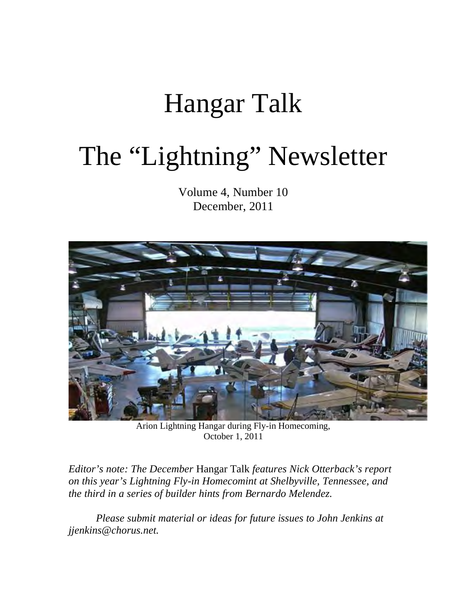## Hangar Talk

# The "Lightning" Newsletter

Volume 4, Number 10 December, 2011



Arion Lightning Hangar during Fly-in Homecoming, October 1, 2011

*Editor's note: The December* Hangar Talk *features Nick Otterback's report on this year's Lightning Fly-in Homecomint at Shelbyville, Tennessee, and the third in a series of builder hints from Bernardo Melendez.*

*Please submit material or ideas for future issues to John Jenkins at jjenkins@chorus.net.*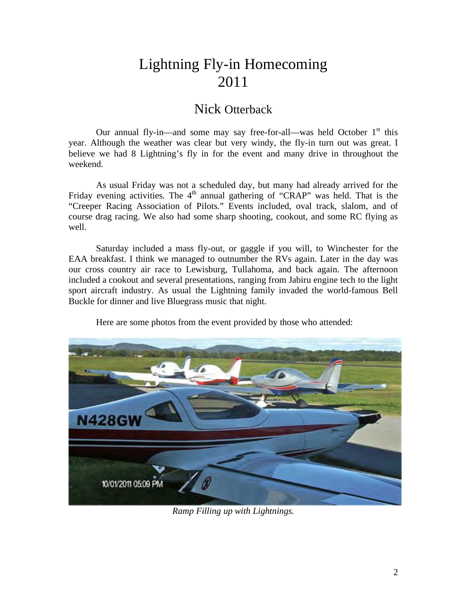## Lightning Fly-in Homecoming 2011

#### Nick Otterback

Our annual fly-in—and some may say free-for-all—was held October  $1<sup>st</sup>$  this year. Although the weather was clear but very windy, the fly-in turn out was great. I believe we had 8 Lightning's fly in for the event and many drive in throughout the weekend.

As usual Friday was not a scheduled day, but many had already arrived for the Friday evening activities. The  $4<sup>th</sup>$  annual gathering of "CRAP" was held. That is the "Creeper Racing Association of Pilots." Events included, oval track, slalom, and of course drag racing. We also had some sharp shooting, cookout, and some RC flying as well.

Saturday included a mass fly-out, or gaggle if you will, to Winchester for the EAA breakfast. I think we managed to outnumber the RVs again. Later in the day was our cross country air race to Lewisburg, Tullahoma, and back again. The afternoon included a cookout and several presentations, ranging from Jabiru engine tech to the light sport aircraft industry. As usual the Lightning family invaded the world-famous Bell Buckle for dinner and live Bluegrass music that night.

Here are some photos from the event provided by those who attended:



*Ramp Filling up with Lightnings.*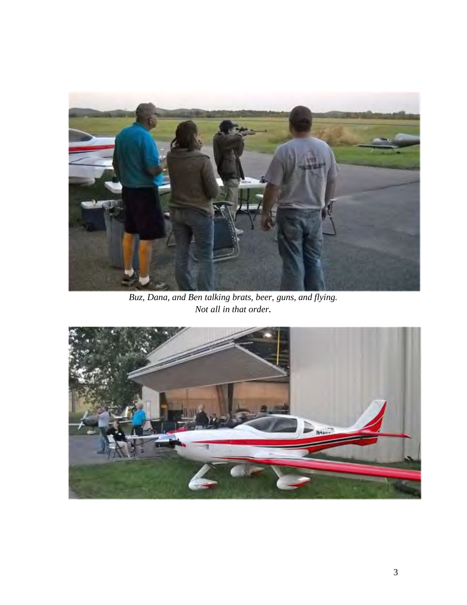

*Buz, Dana, and Ben talking brats, beer, guns, and flying. Not all in that order.*

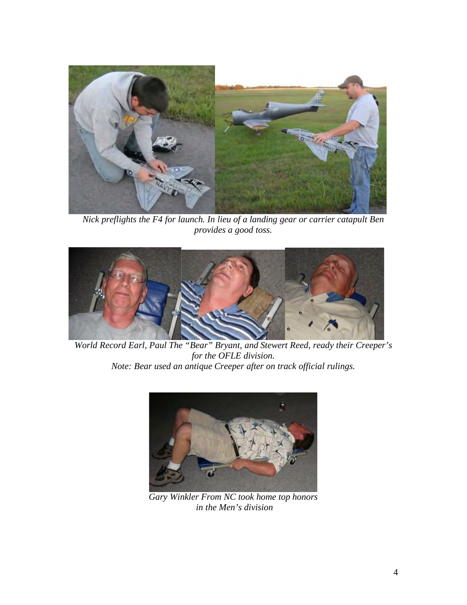

*Nick preflights the F4 for launch. In lieu of a landing gear or carrier catapult Ben provides a good toss.*



*World Record Earl, Paul The "Bear" Bryant, and Stewert Reed, ready their Creeper's for the OFLE division. Note: Bear used an antique Creeper after on track official rulings.*



*Gary Winkler From NC took home top honors in the Men's division*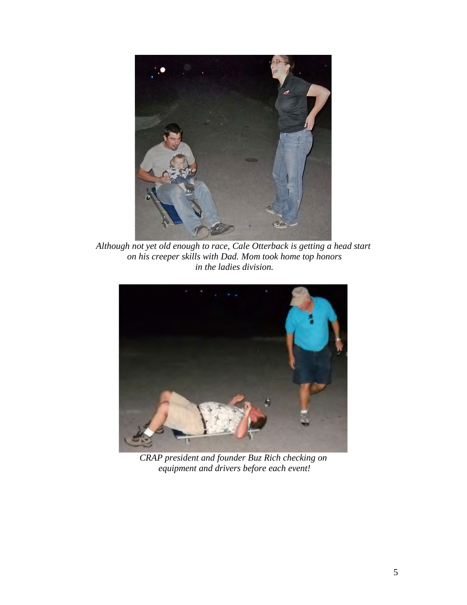

*Although not yet old enough to race, Cale Otterback is getting a head start on his creeper skills with Dad. Mom took home top honors in the ladies division.*



*CRAP president and founder Buz Rich checking on equipment and drivers before each event!*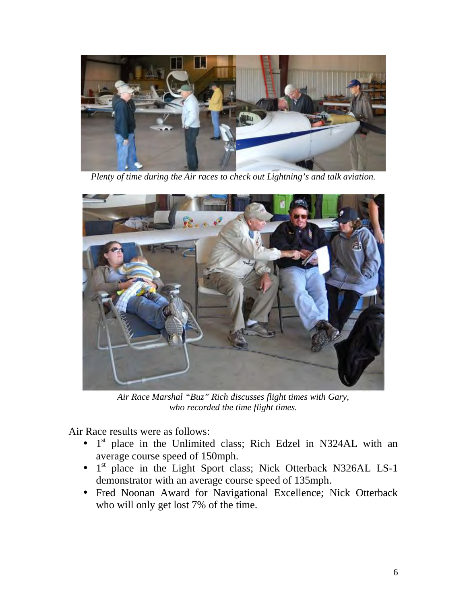

*Plenty of time during the Air races to check out Lightning's and talk aviation.*



*Air Race Marshal "Buz" Rich discusses flight times with Gary, who recorded the time flight times.*

Air Race results were as follows:

- $\cdot$  1<sup>st</sup> place in the Unlimited class; Rich Edzel in N324AL with an average course speed of 150mph.
- 1<sup>st</sup> place in the Light Sport class; Nick Otterback N326AL LS-1 demonstrator with an average course speed of 135mph.
- Fred Noonan Award for Navigational Excellence; Nick Otterback who will only get lost 7% of the time.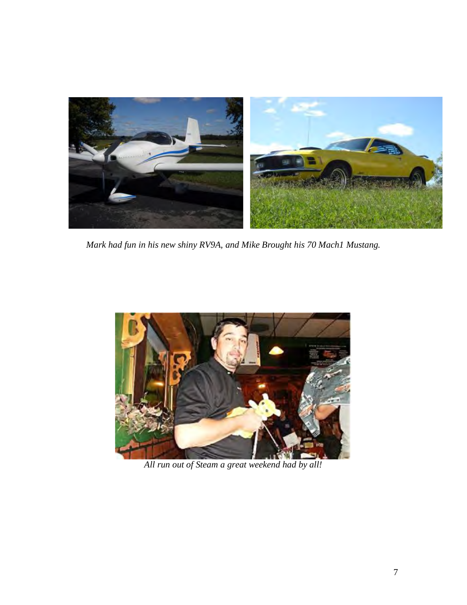

*Mark had fun in his new shiny RV9A, and Mike Brought his 70 Mach1 Mustang.* 



*All run out of Steam a great weekend had by all!*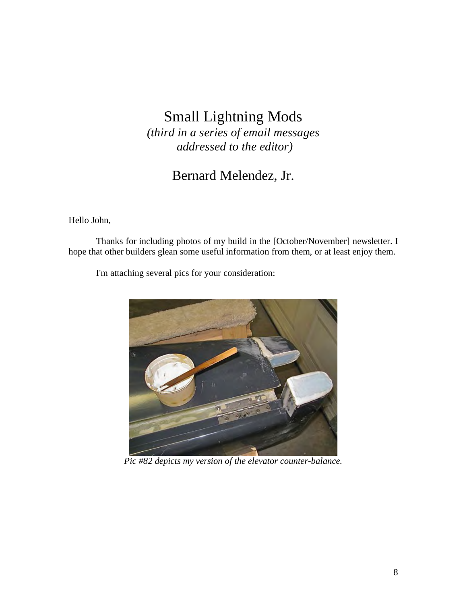## Small Lightning Mods

*(third in a series of email messages addressed to the editor)*

### Bernard Melendez, Jr.

Hello John,

Thanks for including photos of my build in the [October/November] newsletter. I hope that other builders glean some useful information from them, or at least enjoy them.

I'm attaching several pics for your consideration:



*Pic #82 depicts my version of the elevator counter-balance.*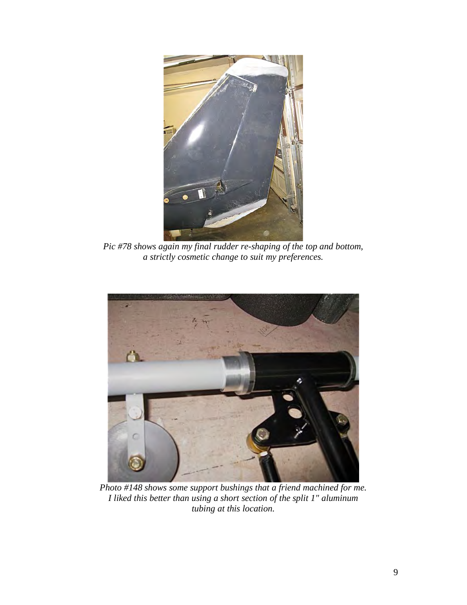

*Pic #78 shows again my final rudder re-shaping of the top and bottom, a strictly cosmetic change to suit my preferences.*



*Photo #148 shows some support bushings that a friend machined for me. I liked this better than using a short section of the split 1" aluminum tubing at this location.*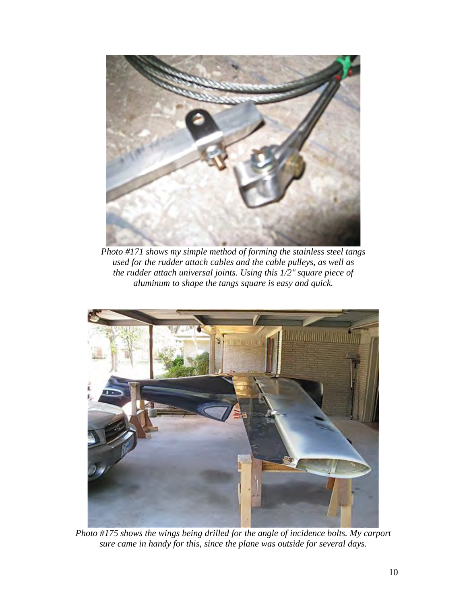

*Photo #171 shows my simple method of forming the stainless steel tangs used for the rudder attach cables and the cable pulleys, as well as the rudder attach universal joints. Using this 1/2" square piece of aluminum to shape the tangs square is easy and quick.*



*Photo #175 shows the wings being drilled for the angle of incidence bolts. My carport sure came in handy for this, since the plane was outside for several days.*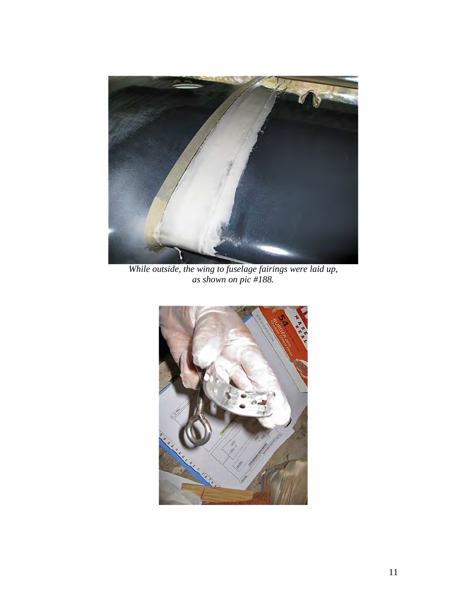

*While outside, the wing to fuselage fairings were laid up, as shown on pic #188.*

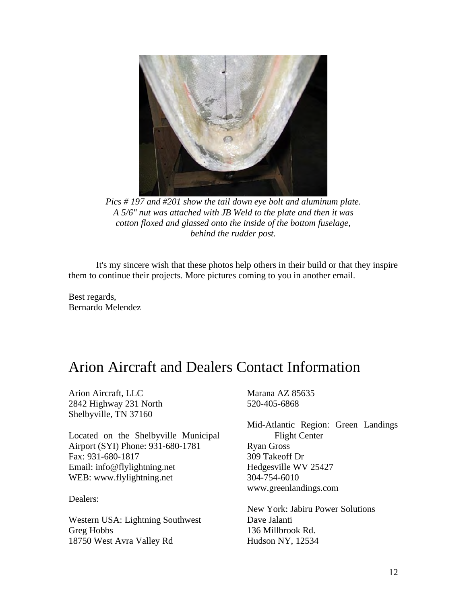

*Pics # 197 and #201 show the tail down eye bolt and aluminum plate. A 5/6" nut was attached with JB Weld to the plate and then it was cotton floxed and glassed onto the inside of the bottom fuselage, behind the rudder post.*

It's my sincere wish that these photos help others in their build or that they inspire them to continue their projects. More pictures coming to you in another email.

Best regards, Bernardo Melendez

## Arion Aircraft and Dealers Contact Information

Arion Aircraft, LLC 2842 Highway 231 North Shelbyville, TN 37160

Located on the Shelbyville Municipal Airport (SYI) Phone: 931-680-1781 Fax: 931-680-1817 Email: info@flylightning.net WEB: www.flylightning.net

Dealers:

Western USA: Lightning Southwest Greg Hobbs 18750 West Avra Valley Rd

Marana AZ 85635 520-405-6868

Mid-Atlantic Region: Green Landings Flight Center Ryan Gross 309 Takeoff Dr Hedgesville WV 25427 304-754-6010 www.greenlandings.com

New York: Jabiru Power Solutions Dave Jalanti 136 Millbrook Rd. Hudson NY, 12534